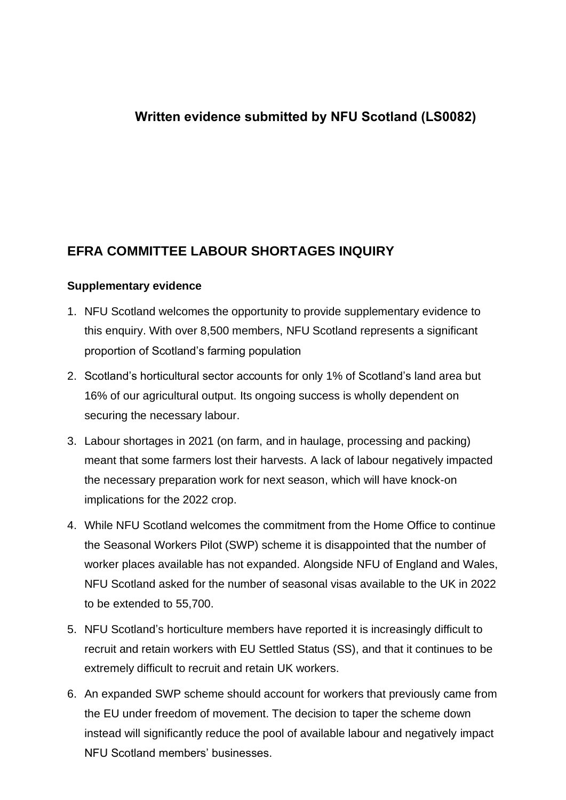## **Writte[n evidence submitted by](mailto:JARRETTT@parliament.uk) NFU Scotland (LS0082)**

## **EFRA COMMITTEE LABOUR SHORTAGES INQUIRY**

## **Supplementary evidence**

- 1. NFU Scotland welcomes the opportunity to provide supplementary evidence to this enquiry. With over 8,500 members, NFU Scotland represents a significant proportion of Scotland's farming population
- 2. Scotland's horticultural sector accounts for only 1% of Scotland's land area but 16% of our agricultural output. Its ongoing success is wholly dependent on securing the necessary labour.
- 3. Labour shortages in 2021 (on farm, and in haulage, processing and packing) meant that some farmers lost their harvests. A lack of labour negatively impacted the necessary preparation work for next season, which will have knock-on implications for the 2022 crop.
- 4. While NFU Scotland welcomes the commitment from the Home Office to continue the Seasonal Workers Pilot (SWP) scheme it is disappointed that the number of worker places available has not expanded. Alongside NFU of England and Wales, NFU Scotland asked for the number of seasonal visas available to the UK in 2022 to be extended to 55,700.
- 5. NFU Scotland's horticulture members have reported it is increasingly difficult to recruit and retain workers with EU Settled Status (SS), and that it continues to be extremely difficult to recruit and retain UK workers.
- 6. An expanded SWP scheme should account for workers that previously came from the EU under freedom of movement. The decision to taper the scheme down instead will significantly reduce the pool of available labour and negatively impact NFU Scotland members' businesses.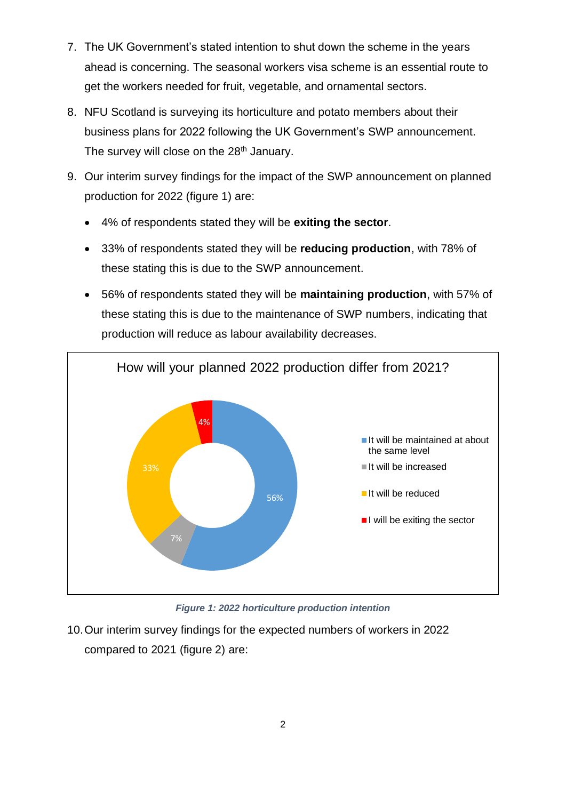- 7. The UK Government's stated intention to shut down the scheme in the years ahead is concerning. The seasonal workers visa scheme is an essential route to get the workers needed for fruit, vegetable, and ornamental sectors.
- 8. NFU Scotland is surveying its horticulture and potato members about their business plans for 2022 following the UK Government's SWP announcement. The survey will close on the 28<sup>th</sup> January.
- 9. Our interim survey findings for the impact of the SWP announcement on planned production for 2022 (figure 1) are:
	- 4% of respondents stated they will be **exiting the sector**.
	- 33% of respondents stated they will be **reducing production**, with 78% of these stating this is due to the SWP announcement.
	- 56% of respondents stated they will be **maintaining production**, with 57% of these stating this is due to the maintenance of SWP numbers, indicating that production will reduce as labour availability decreases.



*Figure 1: 2022 horticulture production intention*

10.Our interim survey findings for the expected numbers of workers in 2022 compared to 2021 (figure 2) are: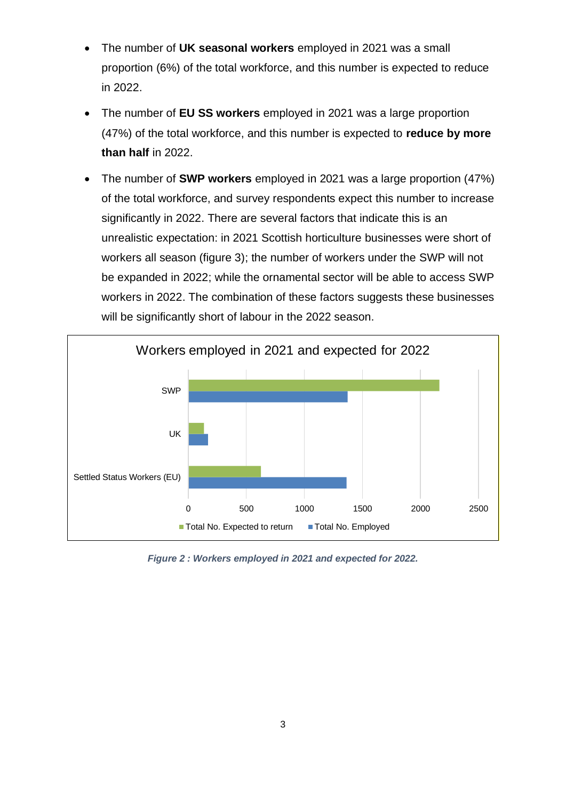- The number of **UK seasonal workers** employed in 2021 was a small proportion (6%) of the total workforce, and this number is expected to reduce in 2022.
- The number of **EU SS workers** employed in 2021 was a large proportion (47%) of the total workforce, and this number is expected to **reduce by more than half** in 2022.
- The number of **SWP workers** employed in 2021 was a large proportion (47%) of the total workforce, and survey respondents expect this number to increase significantly in 2022. There are several factors that indicate this is an unrealistic expectation: in 2021 Scottish horticulture businesses were short of workers all season (figure 3); the number of workers under the SWP will not be expanded in 2022; while the ornamental sector will be able to access SWP workers in 2022. The combination of these factors suggests these businesses will be significantly short of labour in the 2022 season.



*Figure 2 : Workers employed in 2021 and expected for 2022.*